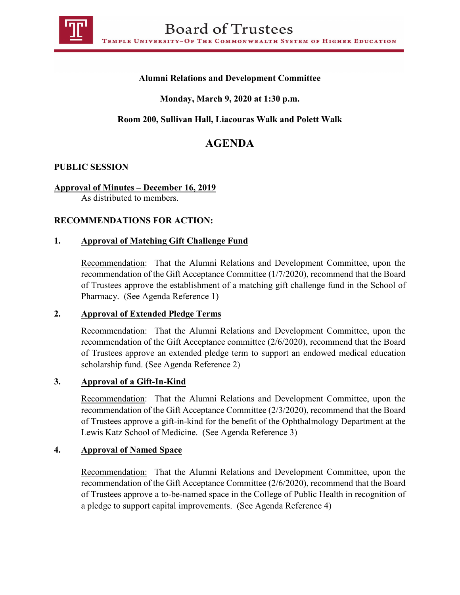

## **Alumni Relations and Development Committee**

# **Monday, March 9, 2020 at 1:30 p.m.**

## **Room 200, Sullivan Hall, Liacouras Walk and Polett Walk**

# **AGENDA**

#### **PUBLIC SESSION**

#### **Approval of Minutes – December 16, 2019**

As distributed to members.

#### **RECOMMENDATIONS FOR ACTION:**

#### **1. Approval of Matching Gift Challenge Fund**

Recommendation: That the Alumni Relations and Development Committee, upon the recommendation of the Gift Acceptance Committee (1/7/2020), recommend that the Board of Trustees approve the establishment of a matching gift challenge fund in the School of Pharmacy. (See Agenda Reference 1)

#### **2. Approval of Extended Pledge Terms**

Recommendation: That the Alumni Relations and Development Committee, upon the recommendation of the Gift Acceptance committee (2/6/2020), recommend that the Board of Trustees approve an extended pledge term to support an endowed medical education scholarship fund. (See Agenda Reference 2)

#### **3. Approval of a Gift-In-Kind**

Recommendation: That the Alumni Relations and Development Committee, upon the recommendation of the Gift Acceptance Committee (2/3/2020), recommend that the Board of Trustees approve a gift-in-kind for the benefit of the Ophthalmology Department at the Lewis Katz School of Medicine. (See Agenda Reference 3)

#### **4. Approval of Named Space**

Recommendation: That the Alumni Relations and Development Committee, upon the recommendation of the Gift Acceptance Committee (2/6/2020), recommend that the Board of Trustees approve a to-be-named space in the College of Public Health in recognition of a pledge to support capital improvements. (See Agenda Reference 4)